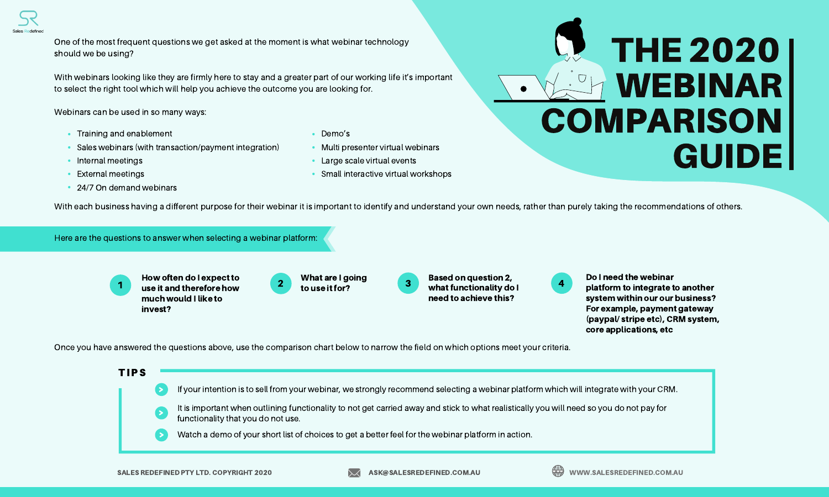One of the most frequent questions we get asked at the moment is what webinar technology should we be using?

With webinars looking like they are firmly here to stay and a greater part of our working life it's important to select the right tool which will help you achieve the outcome you are looking for.

Webinars can be used in so many ways:

- Training and enablement
- Sales webinars (with transaction/payment integration)
- Internal meetings
- External meetings •
- 24/7 On demand webinars
- Demo's
- Multi presenter virtual webinars
- Large scale virtual events •
- Small interactive virtual workshops



With each business having a different purpose for their webinar it is important to identify and understand your own needs, rather than purely taking the recommendations of others.

Here are the questions to answer when selecting a webinar platform:

1 2 3 4 How often do I expect to use it and therefore how and the set of the set of the set of the set of the set of the set of the set of the  $\sim$  2 much would I like to invest?

What are I going to use it for?



Do I need the webinar platform to integrate to another system within our our business? For example, payment gateway (paypal/ stripe etc), CRM system, core applications, etc

Once you have answered the questions above, use the comparison chart below to narrow the field on which options meet your criteria.



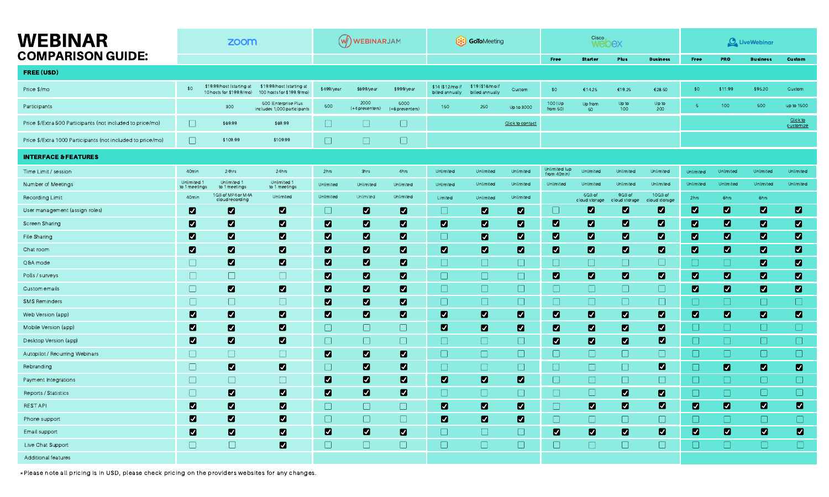| <b>WEBINAR</b>                                              | zoom                       |                                                       |                                                        | $(w)$ WEBINARJAM |                         |                         | (X) GoToMeeting                     |                                    |                  | Cisco<br>webex              |                        |                           |                       | <b>O</b> LiveWebinar |                |                 |                       |
|-------------------------------------------------------------|----------------------------|-------------------------------------------------------|--------------------------------------------------------|------------------|-------------------------|-------------------------|-------------------------------------|------------------------------------|------------------|-----------------------------|------------------------|---------------------------|-----------------------|----------------------|----------------|-----------------|-----------------------|
| <b>COMPARISON GUIDE:</b>                                    |                            |                                                       |                                                        |                  |                         |                         |                                     |                                    |                  | Free                        | <b>Starter</b>         | <b>Plus</b>               | <b>Business</b>       | Free                 | <b>PRO</b>     | <b>Business</b> | <b>Custom</b>         |
| <b>FREE (USD)</b>                                           |                            |                                                       |                                                        |                  |                         |                         |                                     |                                    |                  |                             |                        |                           |                       |                      |                |                 |                       |
| Price \$/mo                                                 | \$0                        | \$19.99/host (starting at<br>10 hosts for \$199.9/mo) | \$19.99/host (starting at<br>100 hosts for \$199.9/mo) | \$499/year       | \$699/year              | \$999/year              | \$14 (\$12/mo if<br>billed annually | \$19 (\$16/mo i<br>billed annually | Custom           | \$0                         | €14.25                 | €19.25                    | €28.50                | \$0                  | \$11.99        | \$95.20         | Custom                |
| Participants                                                |                            | 300                                                   | 500 (Enterprise Plus<br>includes 1,000 participants    | 500              | 2000<br>(+4 presenters) | 5000<br>(+6 presenters) | 150                                 | 250                                | Up to 3000       | 100 (Up)<br>from $50$ )     | Up from<br>50          | Up to<br>100 <sub>1</sub> | Up to<br>200          |                      | 100            | 500             | up to 1500            |
| Price \$/Extra 500 Participants (not included to price/mo)  | $\Box$                     | \$69.99                                               | \$69.99                                                | $\Box$           | $\Box$                  | $\Box$                  |                                     |                                    | Click to contact |                             |                        |                           |                       |                      |                |                 | Click to<br>customize |
| Price \$/Extra 1000 Participants (not included to price/mo) | $\Box$                     | \$109.99                                              | \$109.99                                               | $\Box$           | $\Box$                  | $\Box$                  |                                     |                                    |                  |                             |                        |                           |                       |                      |                |                 |                       |
| <b>INTERFACE &amp; FEATURES</b>                             |                            |                                                       |                                                        |                  |                         |                         |                                     |                                    |                  |                             |                        |                           |                       |                      |                |                 |                       |
| Time Limit / session                                        | 40min                      | 24hrs                                                 | 24hrs                                                  | 2hrs             | 3hrs                    | 4hrs                    | Unlimited                           | Unlimited                          | Unlimited        | Unlimited (up<br>from 40min | <b>Unlimited</b>       | Unlimited                 | Unlimited             | Unlimited            | Unlimited      | Unlimited       | Unlimited             |
| Number of Meetings                                          | Unlimited<br>to 1 meetings | Unlimited 1<br>to 1 meetings                          | Unlimited 1<br>to 1 meetings                           | Unlimited        | Unlimited               | Unlimited               | Unlimited                           | Unlimited                          | Unlimited        | Unlimited                   | Unlimited              | Unlimited                 | Unlimited             | Unlimited            | Unlimited      | Unlimited       | Unlimited             |
| Recording Limit                                             | 40 <sub>min</sub>          | 1GB of MP4 or M4A<br>cloud recording                  | Unlimited                                              | Unlimited        | <b>Unlimited</b>        | Unlimited               | Limited                             | Unlimited                          | Unlimited        |                             | 5GB of<br>cloud storag | 9GB of<br>cloud stora     | 10GB of<br>loud stora | 2hrs                 | 6hrs           | 6hrs            |                       |
| User management (assign roles)                              | $\blacksquare$             | $\overline{\mathbf{z}}$                               | $\blacksquare$                                         | $\Box$           | $\blacksquare$          | $\blacksquare$          | $\Box$                              | $\blacksquare$                     | $\blacksquare$   |                             | $\blacksquare$         | $\blacksquare$            | $\blacksquare$        | $\blacksquare$       | $\blacksquare$ | $\blacksquare$  | $\blacksquare$        |
| Screen Sharing                                              | $\blacksquare$             | $\blacksquare$                                        | $\blacksquare$                                         | $\blacksquare$   | $\blacksquare$          | $\blacksquare$          | $\blacksquare$                      | $\blacksquare$                     | $\blacksquare$   | $\blacksquare$              | $\blacksquare$         | $\blacksquare$            | $\blacksquare$        | $\blacksquare$       | $\blacksquare$ | $\blacksquare$  | $\blacksquare$        |
| File Sharing                                                | $\blacksquare$             | $\blacksquare$                                        | $\blacksquare$                                         | $\blacksquare$   | $\blacksquare$          | $\blacksquare$          | $\Box$                              | $\blacksquare$                     | $\blacksquare$   | $\blacksquare$              | $\blacksquare$         | $\blacksquare$            | $\blacksquare$        | $\blacksquare$       | $\blacksquare$ | $\blacksquare$  | $\blacksquare$        |
| Chat room                                                   | $\blacksquare$             | $\blacksquare$                                        | $\blacksquare$                                         | $\blacksquare$   | $\blacksquare$          | $\blacksquare$          | $\blacksquare$                      | $\blacksquare$                     | $\blacksquare$   | $\blacksquare$              | $\blacksquare$         | $\blacksquare$            | $\blacksquare$        | $\blacksquare$       | $\blacksquare$ | $\blacksquare$  | $\blacksquare$        |
| Q&A mode                                                    | $\Box$                     | $\blacksquare$                                        | $\blacksquare$                                         | $\blacksquare$   | $\blacksquare$          | $\blacksquare$          | $\Box$                              | $\Box$                             | $\Box$           | $\Box$                      | $\Box$                 | $\Box$                    | $\Box$                | $\Box$               | $\Box$         | $\blacksquare$  | $\blacksquare$        |
| Polls / surveys                                             | $\Box$                     | $\Box$                                                | $\Box$                                                 | $\blacksquare$   | $\blacksquare$          | $\blacksquare$          | $\Box$                              | $\Box$                             | $\Box$           | $\blacksquare$              | $\blacksquare$         | $\blacksquare$            | $\blacksquare$        | $\blacksquare$       | $\blacksquare$ | $\blacksquare$  | $\blacksquare$        |
| Custom emails                                               | $\Box$                     | $\blacksquare$                                        | $\blacksquare$                                         | $\blacksquare$   | $\blacksquare$          | $\blacksquare$          | $\Box$                              | $\Box$                             | $\Box$           | $\Box$                      | $\Box$                 | $\Box$                    | $\Box$                | $\blacksquare$       | $\blacksquare$ | $\blacksquare$  | $\blacksquare$        |
| <b>SMS Reminders</b>                                        | $\Box$                     | $\Box$                                                | $\Box$                                                 | $\blacksquare$   | $\blacksquare$          | $\blacksquare$          | $\Box$                              | $\Box$                             | $\Box$           | $\Box$                      | $\Box$                 | $\Box$                    | $\Box$                | U                    | $\Box$         | $\Box$          | $\Box$                |
| Web Version (app)                                           | $\blacksquare$             | $\blacksquare$                                        | $\blacksquare$                                         | $\blacksquare$   | $\blacksquare$          | $\blacksquare$          | M                                   | $\blacksquare$                     | $\blacksquare$   | $\blacksquare$              | $\blacksquare$         | $\blacksquare$            | $\blacksquare$        | $\blacksquare$       | $\blacksquare$ | $\blacksquare$  | $\blacksquare$        |
| Mobile Version (app)                                        | $\blacksquare$             | $\blacksquare$                                        | $\blacksquare$                                         | $\Box$           | $\Box$                  | $\Box$                  | $\blacksquare$                      | $\blacksquare$                     | $\blacksquare$   | $\blacksquare$              | $\blacksquare$         | $\blacksquare$            | $\blacksquare$        | $\Box$               | $\Box$         | $\Box$          | $\Box$                |
| Desktop Version (app)                                       | $\blacksquare$             | $\blacksquare$                                        | $\blacksquare$                                         | $\Box$           | $\Box$                  | $\Box$                  | $\Box$                              | $\Box$                             | $\Box$           | $\blacksquare$              | $\blacksquare$         | $\blacksquare$            | $\blacksquare$        | $\Box$               | $\Box$         | $\Box$          | $\Box$                |
| Autopilot / Recurring Webinars                              | $\Box$                     | $\Box$                                                | $\Box$                                                 | $\blacksquare$   | Z                       | $\blacksquare$          | $\Box$                              | $\Box$                             | $\Box$           | $\Box$                      | $\Box$                 | $\Box$                    | $\Box$                |                      | ⋃              | $\Box$          | $\Box$                |
| Rebranding                                                  | $\Box$                     | 7                                                     | Ø                                                      | $\Box$           | Ø                       | Ø                       | $\Box$                              | $\Box$                             | $\Box$           | $\Box$                      | $\Box$                 | $\Box$                    | Ø                     |                      | $\blacksquare$ | $\blacksquare$  | $\blacksquare$        |
| Payment Integrations                                        | $\Box$                     | $\Box$                                                | $\Box$                                                 | $\blacksquare$   | $\blacksquare$          | $\blacksquare$          | $\blacksquare$                      | $\blacksquare$                     | $\blacksquare$   | $\Box$                      | $\Box$                 | $\Box$                    | $\Box$                | $\Box$               | $\Box$         | $\Box$          | $\Box$                |
| Reports / Statistics                                        | $\Box$                     | $\blacksquare$                                        | $\blacksquare$                                         | $\blacksquare$   | $\blacksquare$          | $\blacksquare$          | $\Box$                              | $\Box$                             | $\Box$           | $\Box$                      | $\Box$                 | $\blacksquare$            | $\blacksquare$        | $\Box$               | $\Box$         | $\Box$          | $\Box$                |
| <b>REST API</b>                                             | $\blacksquare$             | $\blacksquare$                                        | $\blacksquare$                                         | $\Box$           | $\Box$                  | $\Box$                  | $\blacksquare$                      | $\blacksquare$                     | $\blacksquare$   | $\Box$                      | $\blacksquare$         | $\blacksquare$            | $\blacksquare$        | $\blacksquare$       | $\blacksquare$ | $\blacksquare$  | $\blacksquare$        |
| Phone support                                               | $\blacksquare$             | $\blacksquare$                                        | $\blacksquare$                                         | $\Box$           | $\Box$                  | $\Box$                  | $\blacksquare$                      | $\blacksquare$                     | $\blacksquare$   | $\Box$                      | $\Box$                 | $\Box$                    | $\Box$                | $\Box$               | $\Box$         | $\Box$          | $\Box$                |
| Email support                                               | $\blacksquare$             | $\blacksquare$                                        | $\blacksquare$                                         | $\blacksquare$   | $\blacksquare$          | $\blacksquare$          | $\Box$                              | $\Box$                             | $\Box$           | $\blacksquare$              | $\blacksquare$         | $\blacksquare$            | $\blacksquare$        | $\blacksquare$       | $\blacksquare$ | $\blacksquare$  | $\blacksquare$        |
| Live Chat Support                                           | $\Box$                     | $\Box$                                                | $\blacksquare$                                         | $\Box$           | $\Box$                  | $\Box$                  | $\Box$                              | $\Box$                             | $\Box$           | $\Box$                      | $\Box$                 | $\Box$                    | $\Box$                | $\Box$               | $\Box$         | $\Box$          | $\Box$                |
| Additional features                                         |                            |                                                       |                                                        |                  |                         |                         |                                     |                                    |                  |                             |                        |                           |                       |                      |                |                 |                       |

\*Please note all pricing is in USD, please check pricing on the providers websites for any changes.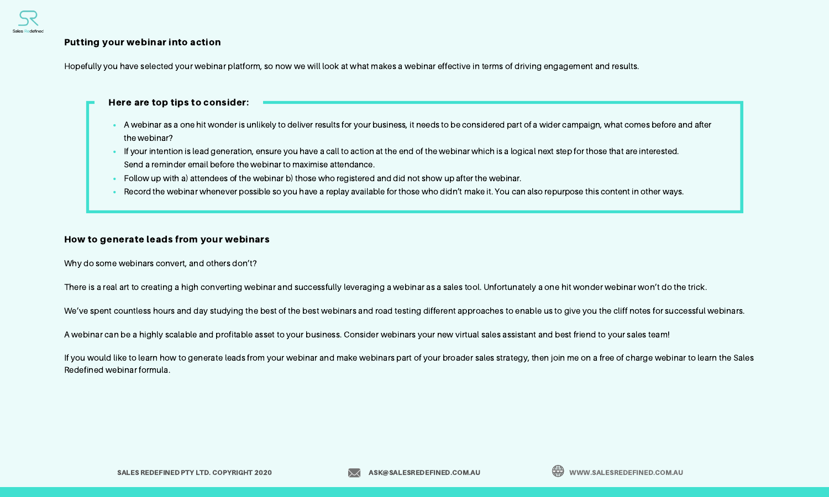#### Putting your webinar into action

Hopefully you have selected your webinar platform, so now we will look at what makes a webinar effective in terms of driving engagement and results.

### Here are top tips to consider:

- A webinar as a one hit wonder is unlikely to deliver results for your business, it needs to be considered part of a wider campaign, what comes before and after the webinar?
- If your intention is lead generation, ensure you have a call to action at the end of the webinar which is a logical next step for those that are interested. Send a reminder email before the webinar to maximise attendance.
- Follow up with a) attendees of the webinar b) those who registered and did not show up after the webinar.
- Record the webinar whenever possible so you have a replay available for those who didn't make it. You can also repurpose this content in other ways.

# How to generate leads from your webinars

Why do some webinars convert, and others don't?

There is a real art to creating a high converting webinar and successfully leveraging a webinar as a sales tool. Unfortunately a one hit wonder webinar won't do the trick.

We've spent countless hours and day studying the best of the best webinars and road testing different approaches to enable us to give you the cliff notes for successful webinars.

A webinar can be a highly scalable and profitable asset to your business. Consider webinars your new virtual sales assistant and best friend to your sales team!

If you would like to learn how to generate leads from your webinar and make webinars part of your broader sales strategy, then join me on a free of charge webinar to learn the Sales Redefined webinar formula.